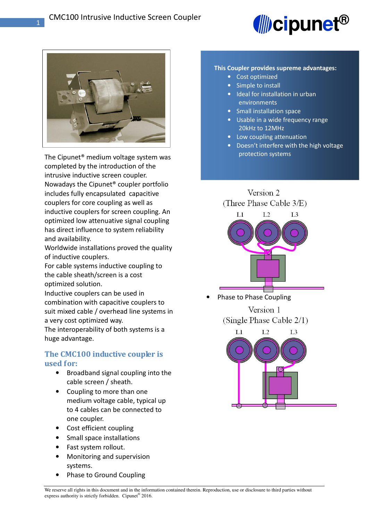



The Cipunet® medium voltage system was completed by the introduction of the intrusive inductive screen coupler. Nowadays the Cipunet® coupler portfolio includes fully encapsulated capacitive couplers for core coupling as well as inductive couplers for screen coupling. An optimized low attenuative signal coupling has direct influence to system reliability and availability.

Worldwide installations proved the quality of inductive couplers.

For cable systems inductive coupling to the cable sheath/screen is a cost optimized solution.

Inductive couplers can be used in combination with capacitive couplers to suit mixed cable / overhead line systems in a very cost optimized way.

The interoperability of both systems is a huge advantage.

### **The CMC100 inductive coupler is used for:**

- Broadband signal coupling into the cable screen / sheath.
- Coupling to more than one medium voltage cable, typical up to 4 cables can be connected to one coupler.
- Cost efficient coupling
- Small space installations
- Fast system rollout.
- Monitoring and supervision systems.
- Phase to Ground Coupling

#### **This Coupler provides supreme advantages:**

- Cost optimized
- Simple to install
- Ideal for installation in urban environments
- Small installation space
- Usable in a wide frequency range 20kHz to 12MHz
- Low coupling attenuation
- Doesn't interfere with the high voltage protection systems



Phase to Phase Coupling

Version 1 (Single Phase Cable 2/1)



We reserve all rights in this document and in the information contained therein. Reproduction, use or disclosure to third parties without express authority is strictly forbidden. Cipunet<sup>®</sup> 2016.